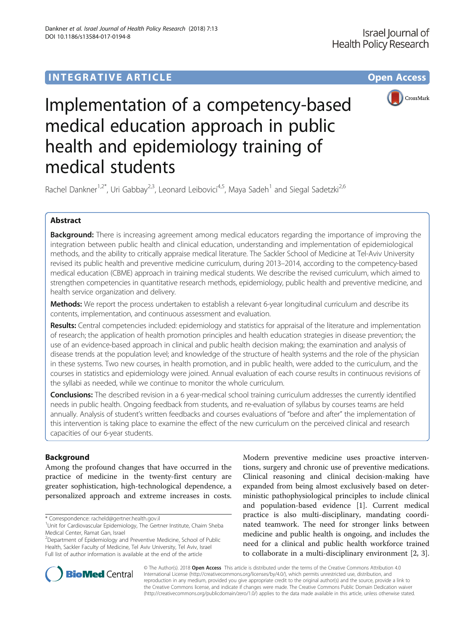# **INTEGRATIVE ARTICLE Example 2018 10 Access Open Access**



# Implementation of a competency-based medical education approach in public health and epidemiology training of medical students

Rachel Dankner<sup>1,2\*</sup>, Uri Gabbay<sup>2,3</sup>, Leonard Leibovici<sup>4,5</sup>, Maya Sadeh<sup>1</sup> and Siegal Sadetzki<sup>2,6</sup>

# Abstract

**Background:** There is increasing agreement among medical educators regarding the importance of improving the integration between public health and clinical education, understanding and implementation of epidemiological methods, and the ability to critically appraise medical literature. The Sackler School of Medicine at Tel-Aviv University revised its public health and preventive medicine curriculum, during 2013–2014, according to the competency-based medical education (CBME) approach in training medical students. We describe the revised curriculum, which aimed to strengthen competencies in quantitative research methods, epidemiology, public health and preventive medicine, and health service organization and delivery.

Methods: We report the process undertaken to establish a relevant 6-year longitudinal curriculum and describe its contents, implementation, and continuous assessment and evaluation.

Results: Central competencies included: epidemiology and statistics for appraisal of the literature and implementation of research; the application of health promotion principles and health education strategies in disease prevention; the use of an evidence-based approach in clinical and public health decision making; the examination and analysis of disease trends at the population level; and knowledge of the structure of health systems and the role of the physician in these systems. Two new courses, in health promotion, and in public health, were added to the curriculum, and the courses in statistics and epidemiology were joined. Annual evaluation of each course results in continuous revisions of the syllabi as needed, while we continue to monitor the whole curriculum.

Conclusions: The described revision in a 6 year-medical school training curriculum addresses the currently identified needs in public health. Ongoing feedback from students, and re-evaluation of syllabus by courses teams are held annually. Analysis of student's written feedbacks and courses evaluations of "before and after" the implementation of this intervention is taking place to examine the effect of the new curriculum on the perceived clinical and research capacities of our 6-year students.

# Background

Among the profound changes that have occurred in the practice of medicine in the twenty-first century are greater sophistication, high-technological dependence, a personalized approach and extreme increases in costs.

\* Correspondence: [racheld@gertner.health.gov.il](mailto:racheld@gertner.health.gov.il) <sup>1</sup>

<sup>2</sup>Department of Epidemiology and Preventive Medicine, School of Public Health, Sackler Faculty of Medicine, Tel Aviv University, Tel Aviv, Israel Full list of author information is available at the end of the article

Modern preventive medicine uses proactive interventions, surgery and chronic use of preventive medications. Clinical reasoning and clinical decision-making have expanded from being almost exclusively based on deterministic pathophysiological principles to include clinical and population-based evidence [\[1](#page-6-0)]. Current medical practice is also multi-disciplinary, mandating coordinated teamwork. The need for stronger links between medicine and public health is ongoing, and includes the need for a clinical and public health workforce trained to collaborate in a multi-disciplinary environment [[2, 3](#page-6-0)].



© The Author(s). 2018 Open Access This article is distributed under the terms of the Creative Commons Attribution 4.0 International License [\(http://creativecommons.org/licenses/by/4.0/](http://creativecommons.org/licenses/by/4.0/)), which permits unrestricted use, distribution, and reproduction in any medium, provided you give appropriate credit to the original author(s) and the source, provide a link to the Creative Commons license, and indicate if changes were made. The Creative Commons Public Domain Dedication waiver [\(http://creativecommons.org/publicdomain/zero/1.0/](http://creativecommons.org/publicdomain/zero/1.0/)) applies to the data made available in this article, unless otherwise stated.

<sup>&</sup>lt;sup>1</sup>Unit for Cardiovascular Epidemiology, The Gertner Institute, Chaim Sheba Medical Center, Ramat Gan, Israel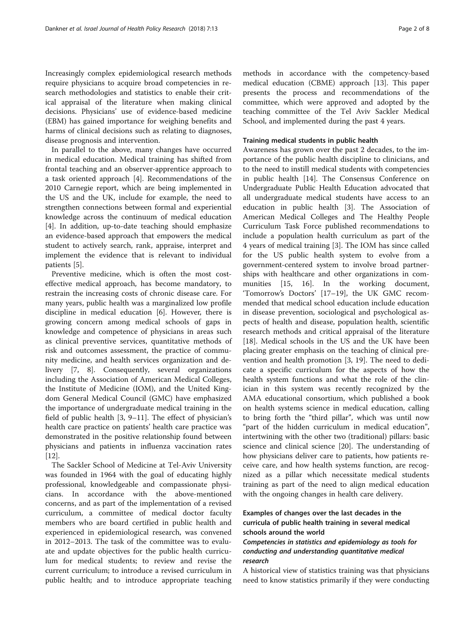Increasingly complex epidemiological research methods require physicians to acquire broad competencies in research methodologies and statistics to enable their critical appraisal of the literature when making clinical decisions. Physicians' use of evidence-based medicine (EBM) has gained importance for weighing benefits and harms of clinical decisions such as relating to diagnoses, disease prognosis and intervention.

In parallel to the above, many changes have occurred in medical education. Medical training has shifted from frontal teaching and an observer-apprentice approach to a task oriented approach [\[4](#page-7-0)]. Recommendations of the 2010 Carnegie report, which are being implemented in the US and the UK, include for example, the need to strengthen connections between formal and experiential knowledge across the continuum of medical education [[4\]](#page-7-0). In addition, up-to-date teaching should emphasize an evidence-based approach that empowers the medical student to actively search, rank, appraise, interpret and implement the evidence that is relevant to individual patients [\[5\]](#page-7-0).

Preventive medicine, which is often the most costeffective medical approach, has become mandatory, to restrain the increasing costs of chronic disease care. For many years, public health was a marginalized low profile discipline in medical education [\[6](#page-7-0)]. However, there is growing concern among medical schools of gaps in knowledge and competence of physicians in areas such as clinical preventive services, quantitative methods of risk and outcomes assessment, the practice of community medicine, and health services organization and delivery [\[7](#page-7-0), [8](#page-7-0)]. Consequently, several organizations including the Association of American Medical Colleges, the Institute of Medicine (IOM), and the United Kingdom General Medical Council (GMC) have emphasized the importance of undergraduate medical training in the field of public health [\[3,](#page-6-0) [9](#page-7-0)–[11](#page-7-0)]. The effect of physician's health care practice on patients' health care practice was demonstrated in the positive relationship found between physicians and patients in influenza vaccination rates [[12\]](#page-7-0).

The Sackler School of Medicine at Tel-Aviv University was founded in 1964 with the goal of educating highly professional, knowledgeable and compassionate physicians. In accordance with the above-mentioned concerns, and as part of the implementation of a revised curriculum, a committee of medical doctor faculty members who are board certified in public health and experienced in epidemiological research, was convened in 2012–2013. The task of the committee was to evaluate and update objectives for the public health curriculum for medical students; to review and revise the current curriculum; to introduce a revised curriculum in public health; and to introduce appropriate teaching

methods in accordance with the competency-based medical education (CBME) approach [[13\]](#page-7-0). This paper presents the process and recommendations of the committee, which were approved and adopted by the teaching committee of the Tel Aviv Sackler Medical School, and implemented during the past 4 years.

## Training medical students in public health

Awareness has grown over the past 2 decades, to the importance of the public health discipline to clinicians, and to the need to instill medical students with competencies in public health [\[14](#page-7-0)]. The Consensus Conference on Undergraduate Public Health Education advocated that all undergraduate medical students have access to an education in public health [\[3](#page-6-0)]. The Association of American Medical Colleges and The Healthy People Curriculum Task Force published recommendations to include a population health curriculum as part of the 4 years of medical training [[3\]](#page-6-0). The IOM has since called for the US public health system to evolve from a government-centered system to involve broad partnerships with healthcare and other organizations in communities [[15, 16](#page-7-0)]. In the working document, 'Tomorrow's Doctors' [\[17](#page-7-0)–[19\]](#page-7-0), the UK GMC recommended that medical school education include education in disease prevention, sociological and psychological aspects of health and disease, population health, scientific research methods and critical appraisal of the literature [[18\]](#page-7-0). Medical schools in the US and the UK have been placing greater emphasis on the teaching of clinical prevention and health promotion [\[3](#page-6-0), [19](#page-7-0)]. The need to dedicate a specific curriculum for the aspects of how the health system functions and what the role of the clinician in this system was recently recognized by the AMA educational consortium, which published a book on health systems science in medical education, calling to bring forth the "third pillar", which was until now "part of the hidden curriculum in medical education", intertwining with the other two (traditional) pillars: basic science and clinical science [[20](#page-7-0)]. The understanding of how physicians deliver care to patients, how patients receive care, and how health systems function, are recognized as a pillar which necessitate medical students training as part of the need to align medical education with the ongoing changes in health care delivery.

# Examples of changes over the last decades in the curricula of public health training in several medical schools around the world

# Competencies in statistics and epidemiology as tools for conducting and understanding quantitative medical research

A historical view of statistics training was that physicians need to know statistics primarily if they were conducting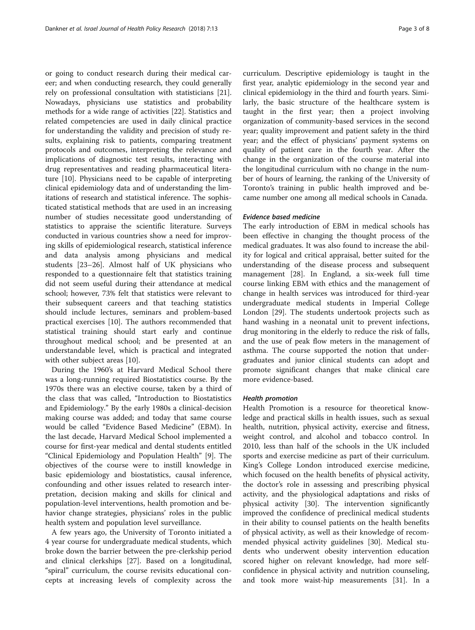or going to conduct research during their medical career; and when conducting research, they could generally rely on professional consultation with statisticians [\[21](#page-7-0)]. Nowadays, physicians use statistics and probability methods for a wide range of activities [\[22\]](#page-7-0). Statistics and related competencies are used in daily clinical practice for understanding the validity and precision of study results, explaining risk to patients, comparing treatment protocols and outcomes, interpreting the relevance and implications of diagnostic test results, interacting with drug representatives and reading pharmaceutical literature [[10](#page-7-0)]. Physicians need to be capable of interpreting clinical epidemiology data and of understanding the limitations of research and statistical inference. The sophisticated statistical methods that are used in an increasing number of studies necessitate good understanding of statistics to appraise the scientific literature. Surveys conducted in various countries show a need for improving skills of epidemiological research, statistical inference and data analysis among physicians and medical students [[23](#page-7-0)–[26](#page-7-0)]. Almost half of UK physicians who responded to a questionnaire felt that statistics training did not seem useful during their attendance at medical school; however, 73% felt that statistics were relevant to their subsequent careers and that teaching statistics should include lectures, seminars and problem-based practical exercises [\[10](#page-7-0)]. The authors recommended that statistical training should start early and continue throughout medical school; and be presented at an understandable level, which is practical and integrated with other subject areas [[10\]](#page-7-0).

During the 1960's at Harvard Medical School there was a long-running required Biostatistics course. By the 1970s there was an elective course, taken by a third of the class that was called, "Introduction to Biostatistics and Epidemiology." By the early 1980s a clinical-decision making course was added; and today that same course would be called "Evidence Based Medicine" (EBM). In the last decade, Harvard Medical School implemented a course for first-year medical and dental students entitled "Clinical Epidemiology and Population Health" [\[9](#page-7-0)]. The objectives of the course were to instill knowledge in basic epidemiology and biostatistics, causal inference, confounding and other issues related to research interpretation, decision making and skills for clinical and population-level interventions, health promotion and behavior change strategies, physicians' roles in the public health system and population level surveillance.

A few years ago, the University of Toronto initiated a 4 year course for undergraduate medical students, which broke down the barrier between the pre-clerkship period and clinical clerkships [\[27\]](#page-7-0). Based on a longitudinal, "spiral" curriculum, the course revisits educational concepts at increasing levels of complexity across the

curriculum. Descriptive epidemiology is taught in the first year, analytic epidemiology in the second year and clinical epidemiology in the third and fourth years. Similarly, the basic structure of the healthcare system is taught in the first year; then a project involving organization of community-based services in the second year; quality improvement and patient safety in the third year; and the effect of physicians' payment systems on quality of patient care in the fourth year. After the change in the organization of the course material into the longitudinal curriculum with no change in the number of hours of learning, the ranking of the University of Toronto's training in public health improved and became number one among all medical schools in Canada.

## Evidence based medicine

The early introduction of EBM in medical schools has been effective in changing the thought process of the medical graduates. It was also found to increase the ability for logical and critical appraisal, better suited for the understanding of the disease process and subsequent management [\[28](#page-7-0)]. In England, a six-week full time course linking EBM with ethics and the management of change in health services was introduced for third-year undergraduate medical students in Imperial College London [\[29\]](#page-7-0). The students undertook projects such as hand washing in a neonatal unit to prevent infections, drug monitoring in the elderly to reduce the risk of falls, and the use of peak flow meters in the management of asthma. The course supported the notion that undergraduates and junior clinical students can adopt and promote significant changes that make clinical care more evidence-based.

## Health promotion

Health Promotion is a resource for theoretical knowledge and practical skills in health issues, such as sexual health, nutrition, physical activity, exercise and fitness, weight control, and alcohol and tobacco control. In 2010, less than half of the schools in the UK included sports and exercise medicine as part of their curriculum. King's College London introduced exercise medicine, which focused on the health benefits of physical activity, the doctor's role in assessing and prescribing physical activity, and the physiological adaptations and risks of physical activity [\[30\]](#page-7-0). The intervention significantly improved the confidence of preclinical medical students in their ability to counsel patients on the health benefits of physical activity, as well as their knowledge of recommended physical activity guidelines [\[30](#page-7-0)]. Medical students who underwent obesity intervention education scored higher on relevant knowledge, had more selfconfidence in physical activity and nutrition counseling, and took more waist-hip measurements [[31\]](#page-7-0). In a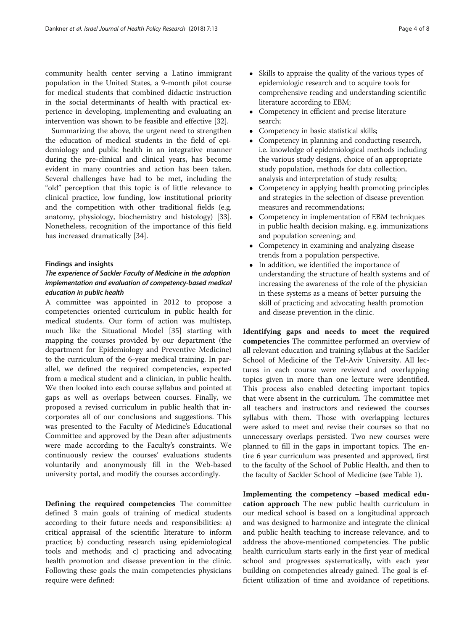community health center serving a Latino immigrant population in the United States, a 9-month pilot course for medical students that combined didactic instruction in the social determinants of health with practical experience in developing, implementing and evaluating an intervention was shown to be feasible and effective [[32\]](#page-7-0).

Summarizing the above, the urgent need to strengthen the education of medical students in the field of epidemiology and public health in an integrative manner during the pre-clinical and clinical years, has become evident in many countries and action has been taken. Several challenges have had to be met, including the "old" perception that this topic is of little relevance to clinical practice, low funding, low institutional priority and the competition with other traditional fields (e.g. anatomy, physiology, biochemistry and histology) [\[33](#page-7-0)]. Nonetheless, recognition of the importance of this field has increased dramatically [[34](#page-7-0)].

## Findings and insights

# The experience of Sackler Faculty of Medicine in the adoption implementation and evaluation of competency-based medical education in public health

A committee was appointed in 2012 to propose a competencies oriented curriculum in public health for medical students. Our form of action was multistep, much like the Situational Model [[35\]](#page-7-0) starting with mapping the courses provided by our department (the department for Epidemiology and Preventive Medicine) to the curriculum of the 6-year medical training. In parallel, we defined the required competencies, expected from a medical student and a clinician, in public health. We then looked into each course syllabus and pointed at gaps as well as overlaps between courses. Finally, we proposed a revised curriculum in public health that incorporates all of our conclusions and suggestions. This was presented to the Faculty of Medicine's Educational Committee and approved by the Dean after adjustments were made according to the Faculty's constraints. We continuously review the courses' evaluations students voluntarily and anonymously fill in the Web-based university portal, and modify the courses accordingly.

Defining the required competencies The committee defined 3 main goals of training of medical students according to their future needs and responsibilities: a) critical appraisal of the scientific literature to inform practice; b) conducting research using epidemiological tools and methods; and c) practicing and advocating health promotion and disease prevention in the clinic. Following these goals the main competencies physicians require were defined:

- Competency in efficient and precise literature search;
- Competency in basic statistical skills;
- Competency in planning and conducting research, i.e. knowledge of epidemiological methods including the various study designs, choice of an appropriate study population, methods for data collection, analysis and interpretation of study results;
- Competency in applying health promoting principles and strategies in the selection of disease prevention measures and recommendations;
- Competency in implementation of EBM techniques in public health decision making, e.g. immunizations and population screening; and
- Competency in examining and analyzing disease trends from a population perspective.
- In addition, we identified the importance of understanding the structure of health systems and of increasing the awareness of the role of the physician in these systems as a means of better pursuing the skill of practicing and advocating health promotion and disease prevention in the clinic.

Identifying gaps and needs to meet the required competencies The committee performed an overview of all relevant education and training syllabus at the Sackler School of Medicine of the Tel-Aviv University. All lectures in each course were reviewed and overlapping topics given in more than one lecture were identified. This process also enabled detecting important topics that were absent in the curriculum. The committee met all teachers and instructors and reviewed the courses syllabus with them. Those with overlapping lectures were asked to meet and revise their courses so that no unnecessary overlaps persisted. Two new courses were planned to fill in the gaps in important topics. The entire 6 year curriculum was presented and approved, first to the faculty of the School of Public Health, and then to the faculty of Sackler School of Medicine (see Table [1](#page-4-0)).

Implementing the competency –based medical education approach The new public health curriculum in our medical school is based on a longitudinal approach and was designed to harmonize and integrate the clinical and public health teaching to increase relevance, and to address the above-mentioned competencies. The public health curriculum starts early in the first year of medical school and progresses systematically, with each year building on competencies already gained. The goal is efficient utilization of time and avoidance of repetitions.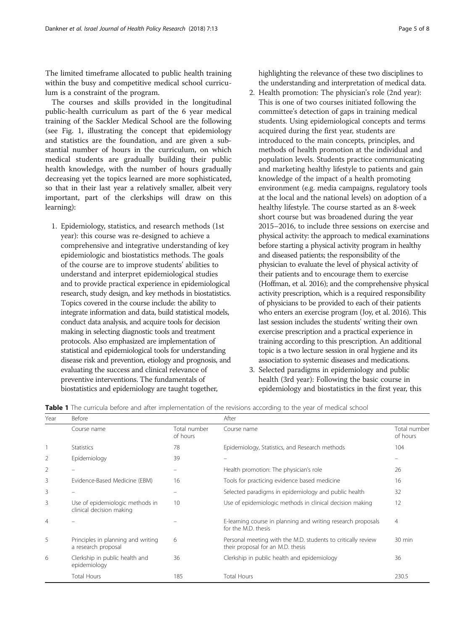<span id="page-4-0"></span>The limited timeframe allocated to public health training within the busy and competitive medical school curriculum is a constraint of the program.

The courses and skills provided in the longitudinal public-health curriculum as part of the 6 year medical training of the Sackler Medical School are the following (see Fig. [1](#page-5-0), illustrating the concept that epidemiology and statistics are the foundation, and are given a substantial number of hours in the curriculum, on which medical students are gradually building their public health knowledge, with the number of hours gradually decreasing yet the topics learned are more sophisticated, so that in their last year a relatively smaller, albeit very important, part of the clerkships will draw on this learning):

1. Epidemiology, statistics, and research methods (1st year): this course was re-designed to achieve a comprehensive and integrative understanding of key epidemiologic and biostatistics methods. The goals of the course are to improve students' abilities to understand and interpret epidemiological studies and to provide practical experience in epidemiological research, study design, and key methods in biostatistics. Topics covered in the course include: the ability to integrate information and data, build statistical models, conduct data analysis, and acquire tools for decision making in selecting diagnostic tools and treatment protocols. Also emphasized are implementation of statistical and epidemiological tools for understanding disease risk and prevention, etiology and prognosis, and evaluating the success and clinical relevance of preventive interventions. The fundamentals of biostatistics and epidemiology are taught together,

highlighting the relevance of these two disciplines to the understanding and interpretation of medical data.

- 2. Health promotion: The physician's role (2nd year): This is one of two courses initiated following the committee's detection of gaps in training medical students. Using epidemiological concepts and terms acquired during the first year, students are introduced to the main concepts, principles, and methods of health promotion at the individual and population levels. Students practice communicating and marketing healthy lifestyle to patients and gain knowledge of the impact of a health promoting environment (e.g. media campaigns, regulatory tools at the local and the national levels) on adoption of a healthy lifestyle. The course started as an 8-week short course but was broadened during the year 2015–2016, to include three sessions on exercise and physical activity: the approach to medical examinations before starting a physical activity program in healthy and diseased patients; the responsibility of the physician to evaluate the level of physical activity of their patients and to encourage them to exercise (Hoffman, et al. 2016); and the comprehensive physical activity prescription, which is a required responsibility of physicians to be provided to each of their patients who enters an exercise program (Joy, et al. 2016). This last session includes the students' writing their own exercise prescription and a practical experience in training according to this prescription. An additional topic is a two lecture session in oral hygiene and its association to systemic diseases and medications.
- 3. Selected paradigms in epidemiology and public health (3rd year): Following the basic course in epidemiology and biostatistics in the first year, this

| Year           | Before                                                      |                          | After                                                                                             |                          |
|----------------|-------------------------------------------------------------|--------------------------|---------------------------------------------------------------------------------------------------|--------------------------|
|                | Course name                                                 | Total number<br>of hours | Course name                                                                                       | Total number<br>of hours |
|                | <b>Statistics</b>                                           | 78                       | Epidemiology, Statistics, and Research methods                                                    | 104                      |
| 2              | Epidemiology                                                | 39                       |                                                                                                   |                          |
| 2              |                                                             |                          | Health promotion: The physician's role                                                            | 26                       |
| 3              | Evidence-Based Medicine (EBM)                               | 16                       | Tools for practicing evidence based medicine                                                      | 16                       |
| 3              |                                                             |                          | Selected paradigms in epidemiology and public health                                              | 32                       |
| 3              | Use of epidemiologic methods in<br>clinical decision making | 10                       | Use of epidemiologic methods in clinical decision making                                          | 12                       |
| $\overline{4}$ |                                                             |                          | E-learning course in planning and writing research proposals<br>for the M.D. thesis               | $\overline{4}$           |
| 5              | Principles in planning and writing<br>a research proposal   | 6                        | Personal meeting with the M.D. students to critically review<br>their proposal for an M.D. thesis | 30 min                   |
| 6              | Clerkship in public health and<br>epidemiology              | 36                       | Clerkship in public health and epidemiology                                                       | 36                       |
|                | <b>Total Hours</b>                                          | 185                      | <b>Total Hours</b>                                                                                | 230.5                    |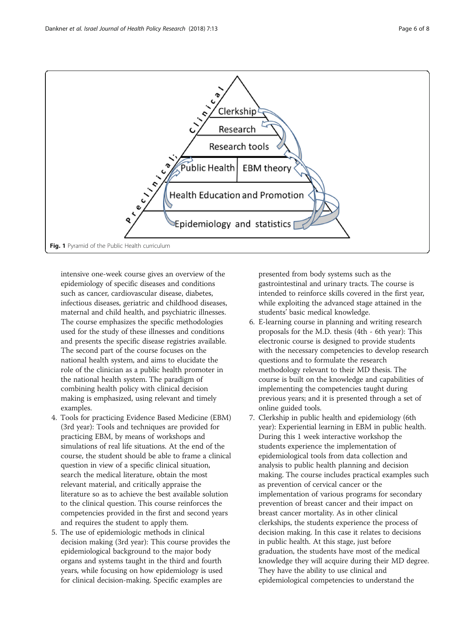<span id="page-5-0"></span>

intensive one-week course gives an overview of the epidemiology of specific diseases and conditions such as cancer, cardiovascular disease, diabetes, infectious diseases, geriatric and childhood diseases, maternal and child health, and psychiatric illnesses. The course emphasizes the specific methodologies used for the study of these illnesses and conditions and presents the specific disease registries available. The second part of the course focuses on the national health system, and aims to elucidate the role of the clinician as a public health promoter in the national health system. The paradigm of combining health policy with clinical decision making is emphasized, using relevant and timely examples.

- 4. Tools for practicing Evidence Based Medicine (EBM) (3rd year): Tools and techniques are provided for practicing EBM, by means of workshops and simulations of real life situations. At the end of the course, the student should be able to frame a clinical question in view of a specific clinical situation, search the medical literature, obtain the most relevant material, and critically appraise the literature so as to achieve the best available solution to the clinical question. This course reinforces the competencies provided in the first and second years and requires the student to apply them.
- 5. The use of epidemiologic methods in clinical decision making (3rd year): This course provides the epidemiological background to the major body organs and systems taught in the third and fourth years, while focusing on how epidemiology is used for clinical decision-making. Specific examples are

presented from body systems such as the gastrointestinal and urinary tracts. The course is intended to reinforce skills covered in the first year, while exploiting the advanced stage attained in the students' basic medical knowledge.

- 6. E-learning course in planning and writing research proposals for the M.D. thesis (4th - 6th year): This electronic course is designed to provide students with the necessary competencies to develop research questions and to formulate the research methodology relevant to their MD thesis. The course is built on the knowledge and capabilities of implementing the competencies taught during previous years; and it is presented through a set of online guided tools.
- 7. Clerkship in public health and epidemiology (6th year): Experiential learning in EBM in public health. During this 1 week interactive workshop the students experience the implementation of epidemiological tools from data collection and analysis to public health planning and decision making. The course includes practical examples such as prevention of cervical cancer or the implementation of various programs for secondary prevention of breast cancer and their impact on breast cancer mortality. As in other clinical clerkships, the students experience the process of decision making. In this case it relates to decisions in public health. At this stage, just before graduation, the students have most of the medical knowledge they will acquire during their MD degree. They have the ability to use clinical and epidemiological competencies to understand the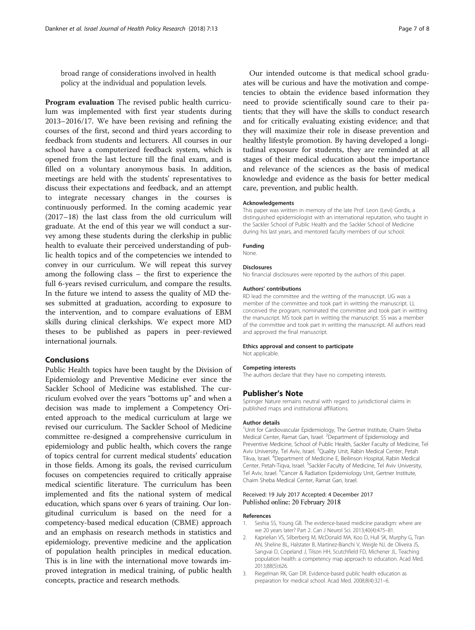<span id="page-6-0"></span>broad range of considerations involved in health policy at the individual and population levels.

Program evaluation The revised public health curriculum was implemented with first year students during 2013–2016/17. We have been revising and refining the courses of the first, second and third years according to feedback from students and lecturers. All courses in our school have a computerized feedback system, which is opened from the last lecture till the final exam, and is filled on a voluntary anonymous basis. In addition, meetings are held with the students' representatives to discuss their expectations and feedback, and an attempt to integrate necessary changes in the courses is continuously performed. In the coming academic year (2017–18) the last class from the old curriculum will graduate. At the end of this year we will conduct a survey among these students during the clerkship in public health to evaluate their perceived understanding of public health topics and of the competencies we intended to convey in our curriculum. We will repeat this survey among the following class – the first to experience the full 6-years revised curriculum, and compare the results. In the future we intend to assess the quality of MD theses submitted at graduation, according to exposure to the intervention, and to compare evaluations of EBM skills during clinical clerkships. We expect more MD theses to be published as papers in peer-reviewed international journals.

# Conclusions

Public Health topics have been taught by the Division of Epidemiology and Preventive Medicine ever since the Sackler School of Medicine was established. The curriculum evolved over the years "bottoms up" and when a decision was made to implement a Competency Oriented approach to the medical curriculum at large we revised our curriculum. The Sackler School of Medicine committee re-designed a comprehensive curriculum in epidemiology and public health, which covers the range of topics central for current medical students' education in those fields. Among its goals, the revised curriculum focuses on competencies required to critically appraise medical scientific literature. The curriculum has been implemented and fits the national system of medical education, which spans over 6 years of training. Our longitudinal curriculum is based on the need for a competency-based medical education (CBME) approach and an emphasis on research methods in statistics and epidemiology, preventive medicine and the application of population health principles in medical education. This is in line with the international move towards improved integration in medical training, of public health concepts, practice and research methods.

Our intended outcome is that medical school graduates will be curious and have the motivation and competencies to obtain the evidence based information they need to provide scientifically sound care to their patients; that they will have the skills to conduct research and for critically evaluating existing evidence; and that they will maximize their role in disease prevention and healthy lifestyle promotion. By having developed a longitudinal exposure for students, they are reminded at all stages of their medical education about the importance and relevance of the sciences as the basis of medical knowledge and evidence as the basis for better medical care, prevention, and public health.

#### Acknowledgements

This paper was written in memory of the late Prof. Leon (Levi) Gordis, a distinguished epidemiologist with an international reputation, who taught in the Sackler School of Public Health and the Sackler School of Medicine during his last years, and mentored faculty members of our school.

## Funding

None.

## Disclosures

No financial disclosures were reported by the authors of this paper.

#### Authors' contributions

RD lead the committee and the writting of the manuscript. UG was a member of the committee and took part in writting the manuscript. LL conceived the program, nominated the committee and took part in writting the manuscript. MS took part in writting the manuscript. SS was a member of the committee and took part in writting the manuscript. All authors read and approved the final manuscript.

### Ethics approval and consent to participate

Not applicable.

#### Competing interests

The authors declare that they have no competing interests.

#### Publisher's Note

Springer Nature remains neutral with regard to jurisdictional claims in published maps and institutional affiliations.

#### Author details

<sup>1</sup>Unit for Cardiovascular Epidemiology, The Gertner Institute, Chaim Sheba Medical Center, Ramat Gan, Israel. <sup>2</sup>Department of Epidemiology and Preventive Medicine, School of Public Health, Sackler Faculty of Medicine, Tel Aviv University, Tel Aviv, Israel. <sup>3</sup>Quality Unit, Rabin Medical Center, Petah Tikva, Israel. <sup>4</sup>Department of Medicine E, Beilinson Hospital, Rabin Medical Center, Petah-Tiqva, Israel. <sup>5</sup>Sackler Faculty of Medicine, Tel Aviv University, Tel Aviv, Israel. <sup>6</sup>Cancer & Radiation Epidemiology Unit, Gertner Institute Chaim Sheba Medical Center, Ramat Gan, Israel.

## Received: 19 July 2017 Accepted: 4 December 2017 Published online: 20 February 2018

#### References

- 1. Seshia SS, Young GB. The evidence-based medicine paradigm: where are we 20 years later? Part 2. Can J Neurol Sci. 2013;40(4):475–81.
- 2. Kaprielian VS, Silberberg M, McDonald MA, Koo D, Hull SK, Murphy G, Tran AN, Sheline BL, Halstater B, Martinez-Bianchi V, Weigle NJ, de Oliveira JS, Sangvai D, Copeland J, Tilson HH, Scutchfield FD, Michener JL. Teaching population health: a competency map approach to education. Acad Med. 2013;88(5):626.
- 3. Riegelman RK, Garr DR. Evidence-based public health education as preparation for medical school. Acad Med. 2008;8(4):321–6.